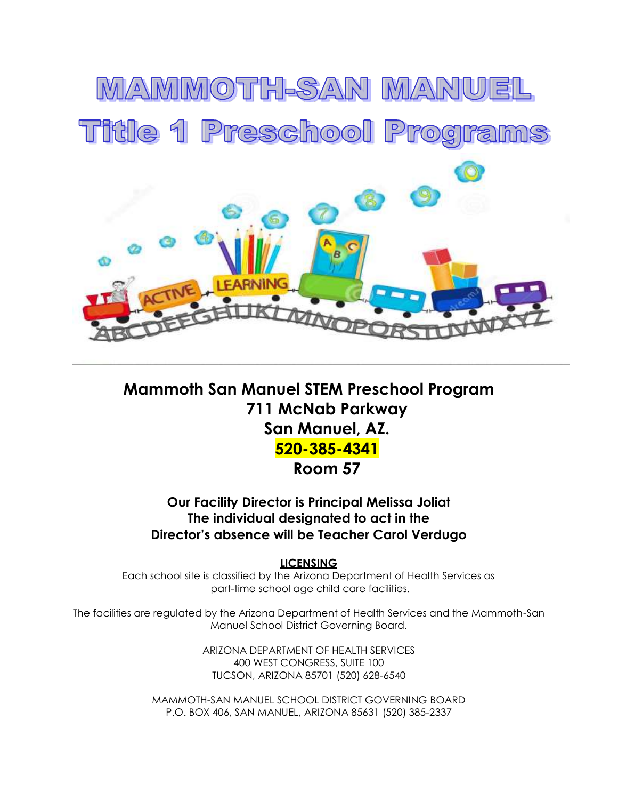

### **Mammoth San Manuel STEM Preschool Program 711 McNab Parkway San Manuel, AZ. 520-385-4341 Room 57**

**Our Facility Director is Principal Melissa Joliat The individual designated to act in the Director's absence will be Teacher Carol Verdugo**

**LICENSING**

Each school site is classified by the Arizona Department of Health Services as part-time school age child care facilities.

The facilities are regulated by the Arizona Department of Health Services and the Mammoth-San Manuel School District Governing Board.

> ARIZONA DEPARTMENT OF HEALTH SERVICES 400 WEST CONGRESS, SUITE 100 TUCSON, ARIZONA 85701 (520) 628-6540

MAMMOTH-SAN MANUEL SCHOOL DISTRICT GOVERNING BOARD P.O. BOX 406, SAN MANUEL, ARIZONA 85631 (520) 385-2337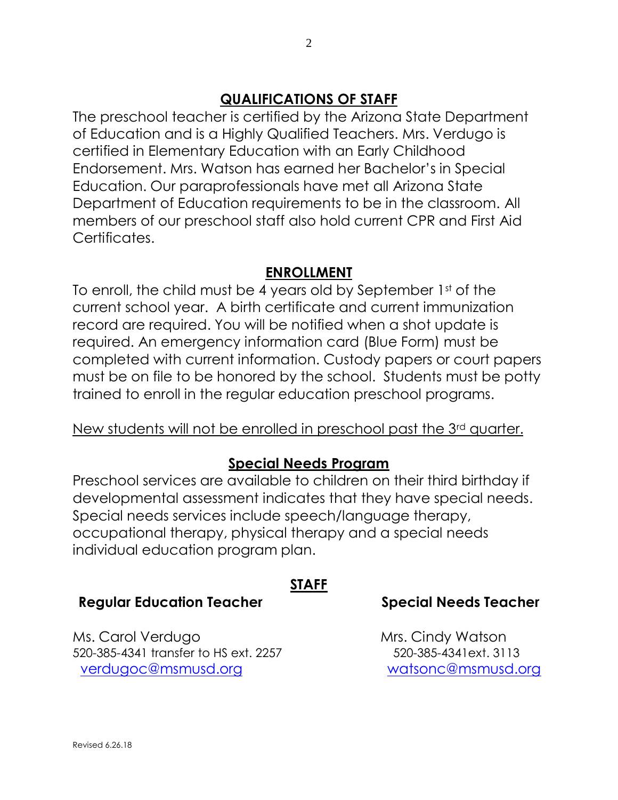#### **QUALIFICATIONS OF STAFF**

The preschool teacher is certified by the Arizona State Department of Education and is a Highly Qualified Teachers. Mrs. Verdugo is certified in Elementary Education with an Early Childhood Endorsement. Mrs. Watson has earned her Bachelor's in Special Education. Our paraprofessionals have met all Arizona State Department of Education requirements to be in the classroom. All members of our preschool staff also hold current CPR and First Aid Certificates.

#### **ENROLLMENT**

To enroll, the child must be 4 years old by September 1st of the current school year. A birth certificate and current immunization record are required. You will be notified when a shot update is required. An emergency information card (Blue Form) must be completed with current information. Custody papers or court papers must be on file to be honored by the school. Students must be potty trained to enroll in the regular education preschool programs.

#### New students will not be enrolled in preschool past the 3rd quarter.

#### **Special Needs Program**

Preschool services are available to children on their third birthday if developmental assessment indicates that they have special needs. Special needs services include speech/language therapy, occupational therapy, physical therapy and a special needs individual education program plan.

**STAFF**

#### **Regular Education Teacher Special Needs Teacher**

Ms. Carol Verdugo Mrs. Cindy Watson 520-385-4341 transfer to HS ext. 2257 520-385-4341ext. 3113 [verdugoc@msmusd.org](mailto:verdugoc@msmusd.org) [watsonc@msmusd.org](mailto:watsonc@msmusd.org)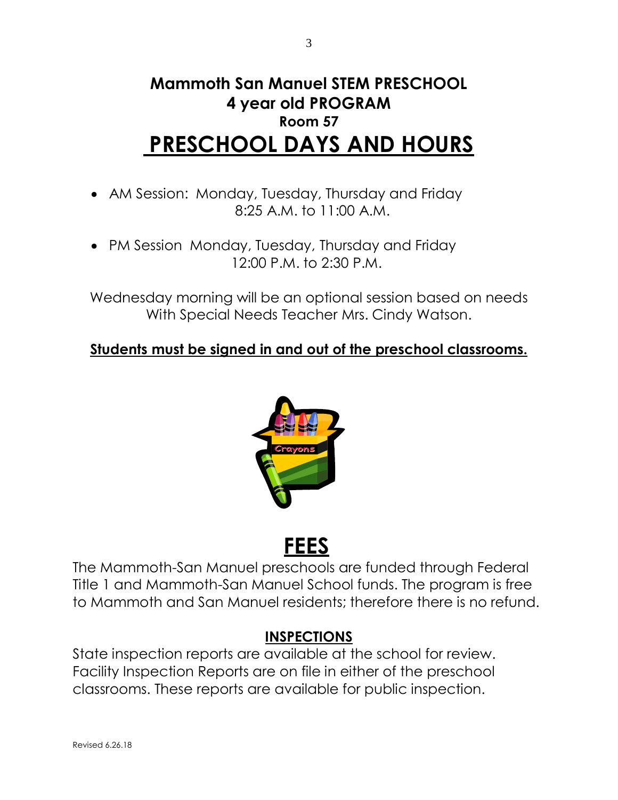## **Mammoth San Manuel STEM PRESCHOOL 4 year old PROGRAM Room 57 PRESCHOOL DAYS AND HOURS**

- AM Session: Monday, Tuesday, Thursday and Friday 8:25 A.M. to 11:00 A.M.
- PM Session Monday, Tuesday, Thursday and Friday 12:00 P.M. to 2:30 P.M.

Wednesday morning will be an optional session based on needs With Special Needs Teacher Mrs. Cindy Watson.

#### **Students must be signed in and out of the preschool classrooms.**



# **FEES**

The Mammoth-San Manuel preschools are funded through Federal Title 1 and Mammoth-San Manuel School funds. The program is free to Mammoth and San Manuel residents; therefore there is no refund.

#### **INSPECTIONS**

State inspection reports are available at the school for review. Facility Inspection Reports are on file in either of the preschool classrooms. These reports are available for public inspection.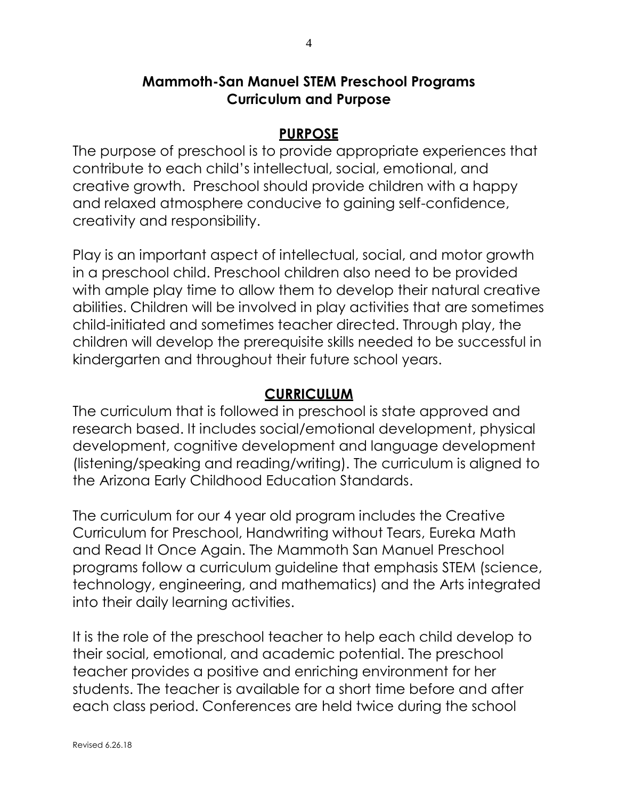#### **Mammoth-San Manuel STEM Preschool Programs Curriculum and Purpose**

#### **PURPOSE**

The purpose of preschool is to provide appropriate experiences that contribute to each child's intellectual, social, emotional, and creative growth. Preschool should provide children with a happy and relaxed atmosphere conducive to gaining self-confidence, creativity and responsibility.

Play is an important aspect of intellectual, social, and motor growth in a preschool child. Preschool children also need to be provided with ample play time to allow them to develop their natural creative abilities. Children will be involved in play activities that are sometimes child-initiated and sometimes teacher directed. Through play, the children will develop the prerequisite skills needed to be successful in kindergarten and throughout their future school years.

#### **CURRICULUM**

The curriculum that is followed in preschool is state approved and research based. It includes social/emotional development, physical development, cognitive development and language development (listening/speaking and reading/writing). The curriculum is aligned to the Arizona Early Childhood Education Standards.

The curriculum for our 4 year old program includes the Creative Curriculum for Preschool, Handwriting without Tears, Eureka Math and Read It Once Again. The Mammoth San Manuel Preschool programs follow a curriculum guideline that emphasis STEM (science, technology, engineering, and mathematics) and the Arts integrated into their daily learning activities.

It is the role of the preschool teacher to help each child develop to their social, emotional, and academic potential. The preschool teacher provides a positive and enriching environment for her students. The teacher is available for a short time before and after each class period. Conferences are held twice during the school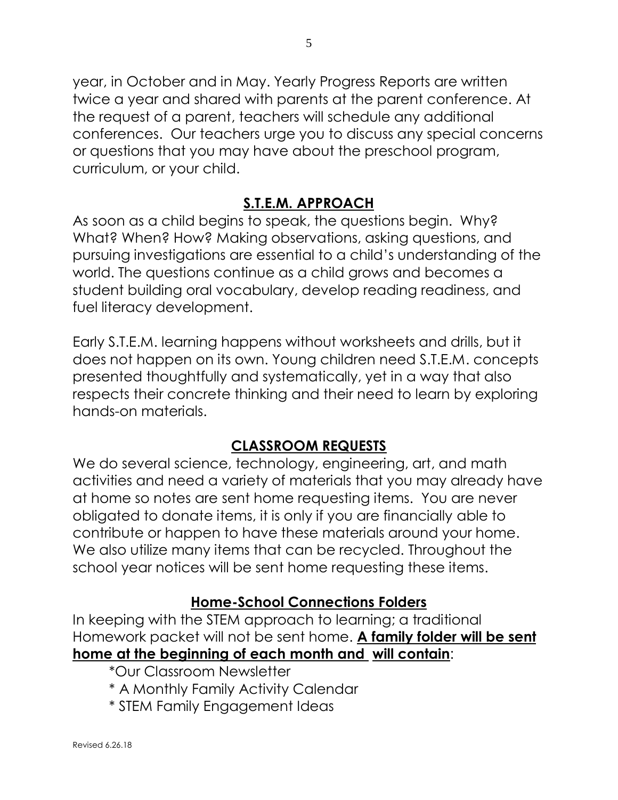year, in October and in May. Yearly Progress Reports are written twice a year and shared with parents at the parent conference. At the request of a parent, teachers will schedule any additional conferences. Our teachers urge you to discuss any special concerns or questions that you may have about the preschool program, curriculum, or your child.

#### **S.T.E.M. APPROACH**

As soon as a child begins to speak, the questions begin. Why? What? When? How? Making observations, asking questions, and pursuing investigations are essential to a child's understanding of the world. The questions continue as a child grows and becomes a student building oral vocabulary, develop reading readiness, and fuel literacy development.

Early S.T.E.M. learning happens without worksheets and drills, but it does not happen on its own. Young children need S.T.E.M. concepts presented thoughtfully and systematically, yet in a way that also respects their concrete thinking and their need to learn by exploring hands-on materials.

### **CLASSROOM REQUESTS**

We do several science, technology, engineering, art, and math activities and need a variety of materials that you may already have at home so notes are sent home requesting items. You are never obligated to donate items, it is only if you are financially able to contribute or happen to have these materials around your home. We also utilize many items that can be recycled. Throughout the school year notices will be sent home requesting these items.

#### **Home-School Connections Folders**

In keeping with the STEM approach to learning; a traditional Homework packet will not be sent home. **A family folder will be sent home at the beginning of each month and will contain**:

- \*Our Classroom Newsletter
- \* A Monthly Family Activity Calendar
- \* STEM Family Engagement Ideas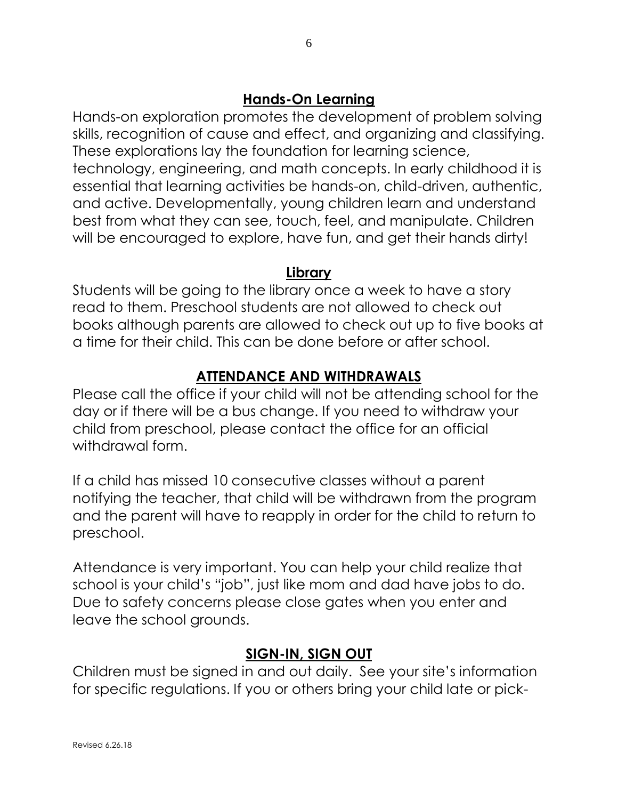#### **Hands-On Learning**

Hands-on exploration promotes the development of problem solving skills, recognition of cause and effect, and organizing and classifying. These explorations lay the foundation for learning science, technology, engineering, and math concepts. In early childhood it is essential that learning activities be hands-on, child-driven, authentic, and active. Developmentally, young children learn and understand best from what they can see, touch, feel, and manipulate. Children will be encouraged to explore, have fun, and get their hands dirty!

#### **Library**

Students will be going to the library once a week to have a story read to them. Preschool students are not allowed to check out books although parents are allowed to check out up to five books at a time for their child. This can be done before or after school.

#### **ATTENDANCE AND WITHDRAWALS**

Please call the office if your child will not be attending school for the day or if there will be a bus change. If you need to withdraw your child from preschool, please contact the office for an official withdrawal form.

If a child has missed 10 consecutive classes without a parent notifying the teacher, that child will be withdrawn from the program and the parent will have to reapply in order for the child to return to preschool.

Attendance is very important. You can help your child realize that school is your child's "job", just like mom and dad have jobs to do. Due to safety concerns please close gates when you enter and leave the school grounds.

#### **SIGN-IN, SIGN OUT**

Children must be signed in and out daily. See your site's information for specific regulations. If you or others bring your child late or pick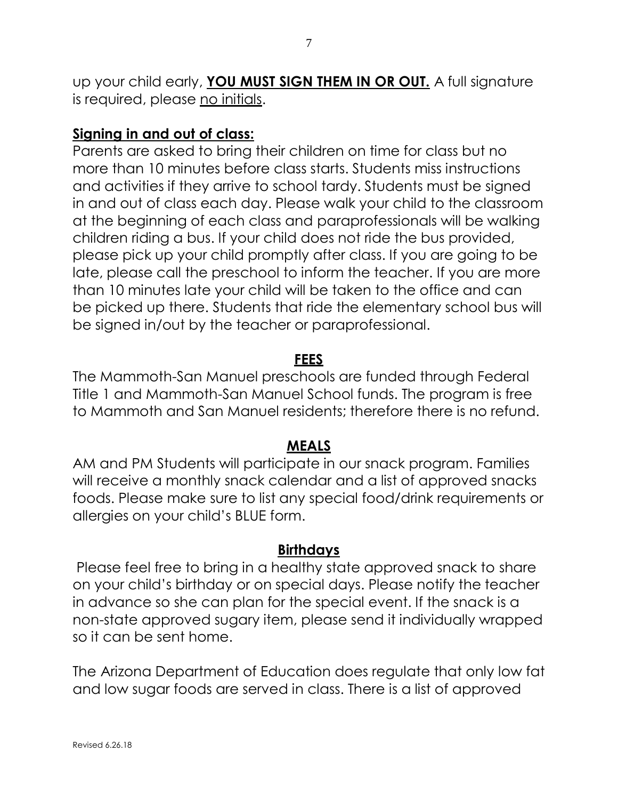up your child early, **YOU MUST SIGN THEM IN OR OUT.** A full signature is required, please no initials.

#### **Signing in and out of class:**

Parents are asked to bring their children on time for class but no more than 10 minutes before class starts. Students miss instructions and activities if they arrive to school tardy. Students must be signed in and out of class each day. Please walk your child to the classroom at the beginning of each class and paraprofessionals will be walking children riding a bus. If your child does not ride the bus provided, please pick up your child promptly after class. If you are going to be late, please call the preschool to inform the teacher. If you are more than 10 minutes late your child will be taken to the office and can be picked up there. Students that ride the elementary school bus will be signed in/out by the teacher or paraprofessional.

#### **FEES**

The Mammoth-San Manuel preschools are funded through Federal Title 1 and Mammoth-San Manuel School funds. The program is free to Mammoth and San Manuel residents; therefore there is no refund.

#### **MEALS**

AM and PM Students will participate in our snack program. Families will receive a monthly snack calendar and a list of approved snacks foods. Please make sure to list any special food/drink requirements or allergies on your child's BLUE form.

#### **Birthdays**

Please feel free to bring in a healthy state approved snack to share on your child's birthday or on special days. Please notify the teacher in advance so she can plan for the special event. If the snack is a non-state approved sugary item, please send it individually wrapped so it can be sent home.

The Arizona Department of Education does regulate that only low fat and low sugar foods are served in class. There is a list of approved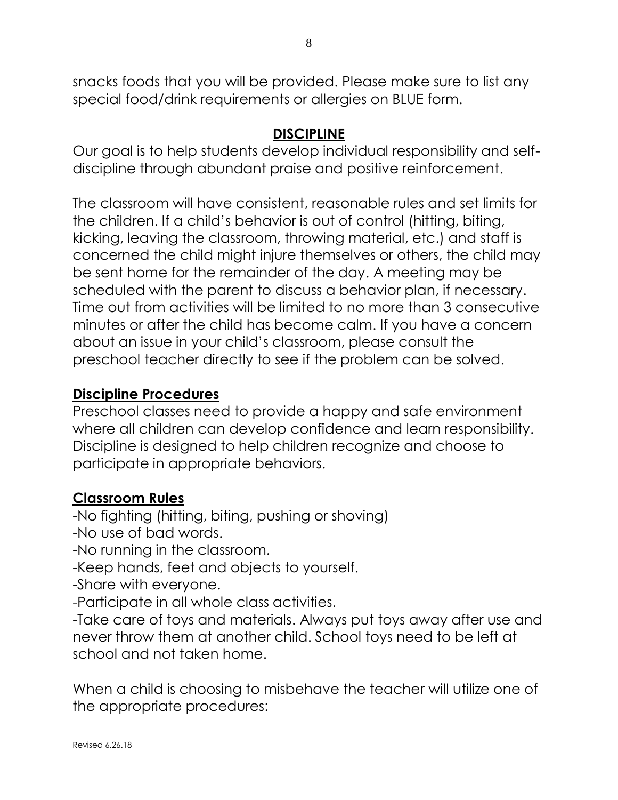snacks foods that you will be provided. Please make sure to list any special food/drink requirements or allergies on BLUE form.

#### **DISCIPLINE**

Our goal is to help students develop individual responsibility and selfdiscipline through abundant praise and positive reinforcement.

The classroom will have consistent, reasonable rules and set limits for the children. If a child's behavior is out of control (hitting, biting, kicking, leaving the classroom, throwing material, etc.) and staff is concerned the child might injure themselves or others, the child may be sent home for the remainder of the day. A meeting may be scheduled with the parent to discuss a behavior plan, if necessary. Time out from activities will be limited to no more than 3 consecutive minutes or after the child has become calm. If you have a concern about an issue in your child's classroom, please consult the preschool teacher directly to see if the problem can be solved.

#### **Discipline Procedures**

Preschool classes need to provide a happy and safe environment where all children can develop confidence and learn responsibility. Discipline is designed to help children recognize and choose to participate in appropriate behaviors.

#### **Classroom Rules**

-No fighting (hitting, biting, pushing or shoving) -No use of bad words. -No running in the classroom. -Keep hands, feet and objects to yourself. -Share with everyone. -Participate in all whole class activities.

-Take care of toys and materials. Always put toys away after use and never throw them at another child. School toys need to be left at school and not taken home.

When a child is choosing to misbehave the teacher will utilize one of the appropriate procedures: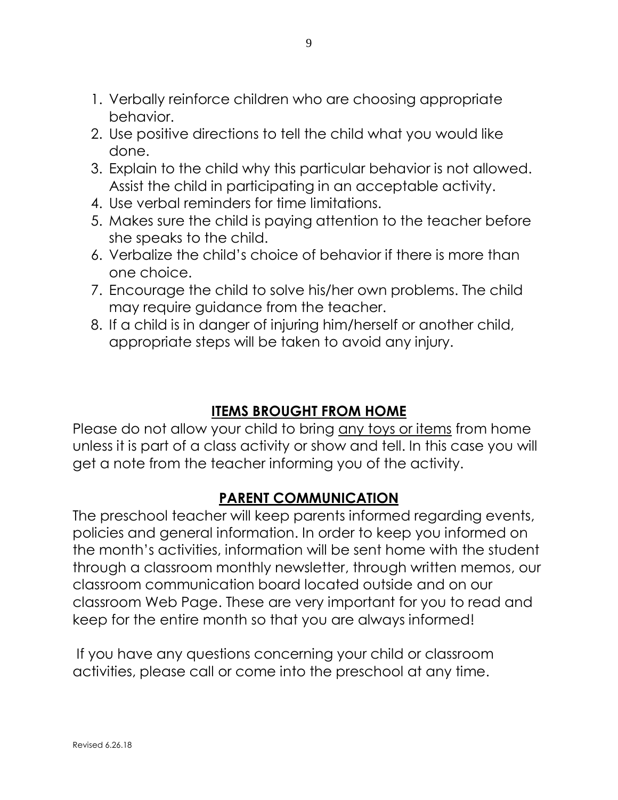- 1. Verbally reinforce children who are choosing appropriate behavior.
- 2. Use positive directions to tell the child what you would like done.
- 3. Explain to the child why this particular behavior is not allowed. Assist the child in participating in an acceptable activity.
- 4. Use verbal reminders for time limitations.
- 5. Makes sure the child is paying attention to the teacher before she speaks to the child.
- 6. Verbalize the child's choice of behavior if there is more than one choice.
- 7. Encourage the child to solve his/her own problems. The child may require guidance from the teacher.
- 8. If a child is in danger of injuring him/herself or another child, appropriate steps will be taken to avoid any injury.

#### **ITEMS BROUGHT FROM HOME**

Please do not allow your child to bring any toys or items from home unless it is part of a class activity or show and tell. In this case you will get a note from the teacher informing you of the activity.

#### **PARENT COMMUNICATION**

The preschool teacher will keep parents informed regarding events, policies and general information. In order to keep you informed on the month's activities, information will be sent home with the student through a classroom monthly newsletter, through written memos, our classroom communication board located outside and on our classroom Web Page. These are very important for you to read and keep for the entire month so that you are always informed!

If you have any questions concerning your child or classroom activities, please call or come into the preschool at any time.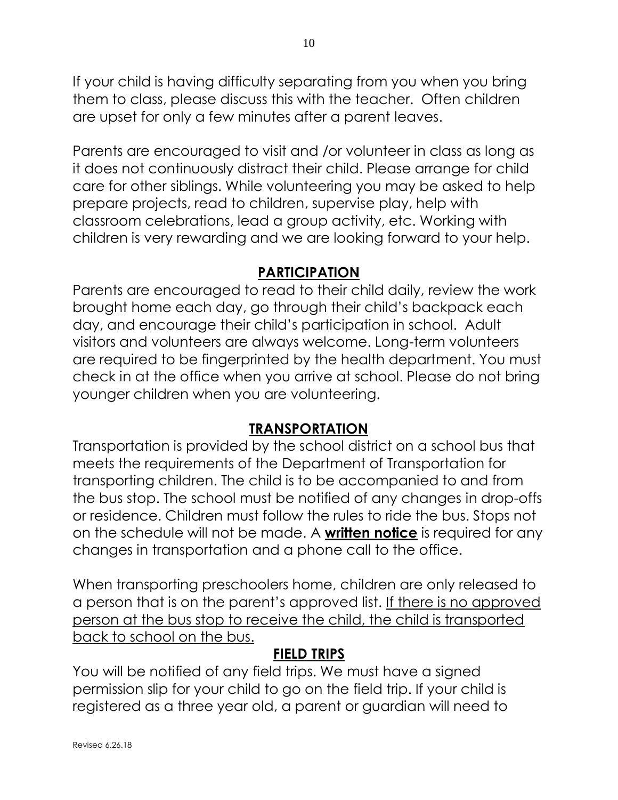If your child is having difficulty separating from you when you bring them to class, please discuss this with the teacher. Often children are upset for only a few minutes after a parent leaves.

Parents are encouraged to visit and /or volunteer in class as long as it does not continuously distract their child. Please arrange for child care for other siblings. While volunteering you may be asked to help prepare projects, read to children, supervise play, help with classroom celebrations, lead a group activity, etc. Working with children is very rewarding and we are looking forward to your help.

#### **PARTICIPATION**

Parents are encouraged to read to their child daily, review the work brought home each day, go through their child's backpack each day, and encourage their child's participation in school. Adult visitors and volunteers are always welcome. Long-term volunteers are required to be fingerprinted by the health department. You must check in at the office when you arrive at school. Please do not bring younger children when you are volunteering.

#### **TRANSPORTATION**

Transportation is provided by the school district on a school bus that meets the requirements of the Department of Transportation for transporting children. The child is to be accompanied to and from the bus stop. The school must be notified of any changes in drop-offs or residence. Children must follow the rules to ride the bus. Stops not on the schedule will not be made. A **written notice** is required for any changes in transportation and a phone call to the office.

When transporting preschoolers home, children are only released to a person that is on the parent's approved list. If there is no approved person at the bus stop to receive the child, the child is transported back to school on the bus.

#### **FIELD TRIPS**

You will be notified of any field trips. We must have a signed permission slip for your child to go on the field trip. If your child is registered as a three year old, a parent or guardian will need to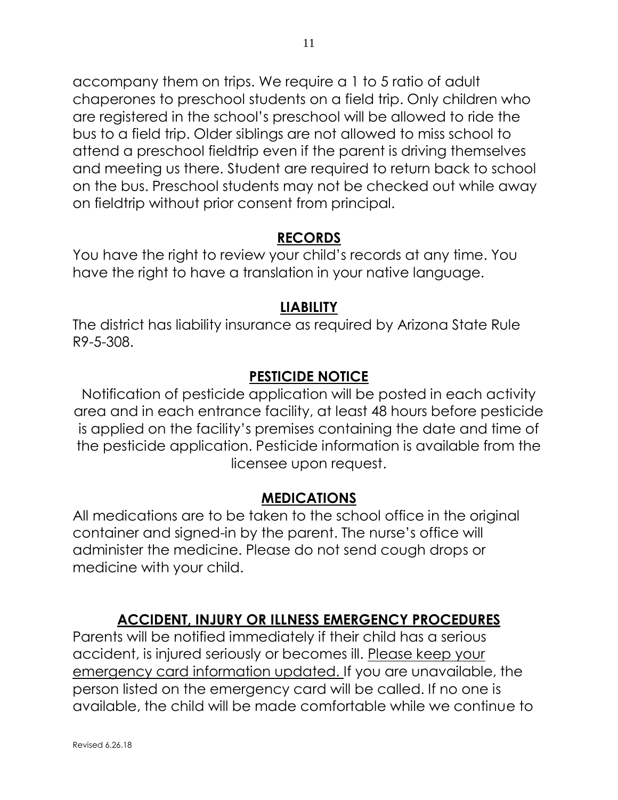accompany them on trips. We require a 1 to 5 ratio of adult chaperones to preschool students on a field trip. Only children who are registered in the school's preschool will be allowed to ride the bus to a field trip. Older siblings are not allowed to miss school to attend a preschool fieldtrip even if the parent is driving themselves and meeting us there. Student are required to return back to school on the bus. Preschool students may not be checked out while away on fieldtrip without prior consent from principal.

#### **RECORDS**

You have the right to review your child's records at any time. You have the right to have a translation in your native language.

#### **LIABILITY**

The district has liability insurance as required by Arizona State Rule R9-5-308.

#### **PESTICIDE NOTICE**

Notification of pesticide application will be posted in each activity area and in each entrance facility, at least 48 hours before pesticide is applied on the facility's premises containing the date and time of the pesticide application. Pesticide information is available from the licensee upon request.

#### **MEDICATIONS**

All medications are to be taken to the school office in the original container and signed-in by the parent. The nurse's office will administer the medicine. Please do not send cough drops or medicine with your child.

#### **ACCIDENT, INJURY OR ILLNESS EMERGENCY PROCEDURES**

Parents will be notified immediately if their child has a serious accident, is injured seriously or becomes ill. Please keep your emergency card information updated. If you are unavailable, the person listed on the emergency card will be called. If no one is available, the child will be made comfortable while we continue to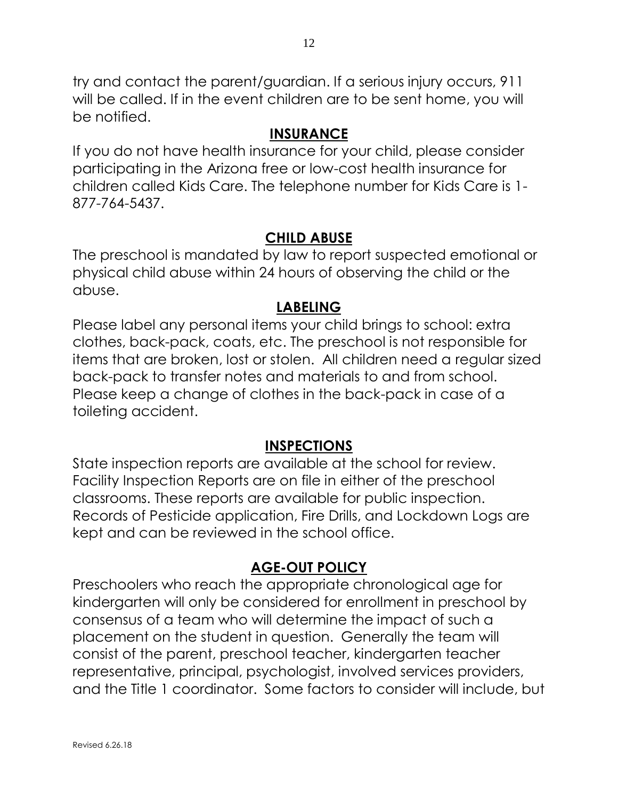try and contact the parent/guardian. If a serious injury occurs, 911 will be called. If in the event children are to be sent home, you will be notified.

#### **INSURANCE**

If you do not have health insurance for your child, please consider participating in the Arizona free or low-cost health insurance for children called Kids Care. The telephone number for Kids Care is 1- 877-764-5437.

#### **CHILD ABUSE**

The preschool is mandated by law to report suspected emotional or physical child abuse within 24 hours of observing the child or the abuse.

#### **LABELING**

Please label any personal items your child brings to school: extra clothes, back-pack, coats, etc. The preschool is not responsible for items that are broken, lost or stolen. All children need a regular sized back-pack to transfer notes and materials to and from school. Please keep a change of clothes in the back-pack in case of a toileting accident.

#### **INSPECTIONS**

State inspection reports are available at the school for review. Facility Inspection Reports are on file in either of the preschool classrooms. These reports are available for public inspection. Records of Pesticide application, Fire Drills, and Lockdown Logs are kept and can be reviewed in the school office.

#### **AGE-OUT POLICY**

Preschoolers who reach the appropriate chronological age for kindergarten will only be considered for enrollment in preschool by consensus of a team who will determine the impact of such a placement on the student in question. Generally the team will consist of the parent, preschool teacher, kindergarten teacher representative, principal, psychologist, involved services providers, and the Title 1 coordinator. Some factors to consider will include, but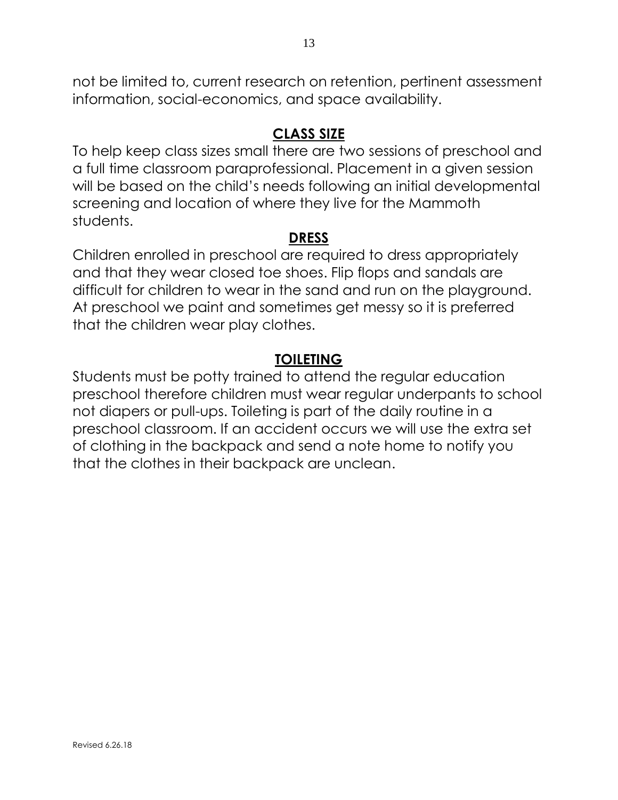not be limited to, current research on retention, pertinent assessment information, social-economics, and space availability.

#### **CLASS SIZE**

To help keep class sizes small there are two sessions of preschool and a full time classroom paraprofessional. Placement in a given session will be based on the child's needs following an initial developmental screening and location of where they live for the Mammoth students.

#### **DRESS**

Children enrolled in preschool are required to dress appropriately and that they wear closed toe shoes. Flip flops and sandals are difficult for children to wear in the sand and run on the playground. At preschool we paint and sometimes get messy so it is preferred that the children wear play clothes.

#### **TOILETING**

Students must be potty trained to attend the regular education preschool therefore children must wear regular underpants to school not diapers or pull-ups. Toileting is part of the daily routine in a preschool classroom. If an accident occurs we will use the extra set of clothing in the backpack and send a note home to notify you that the clothes in their backpack are unclean.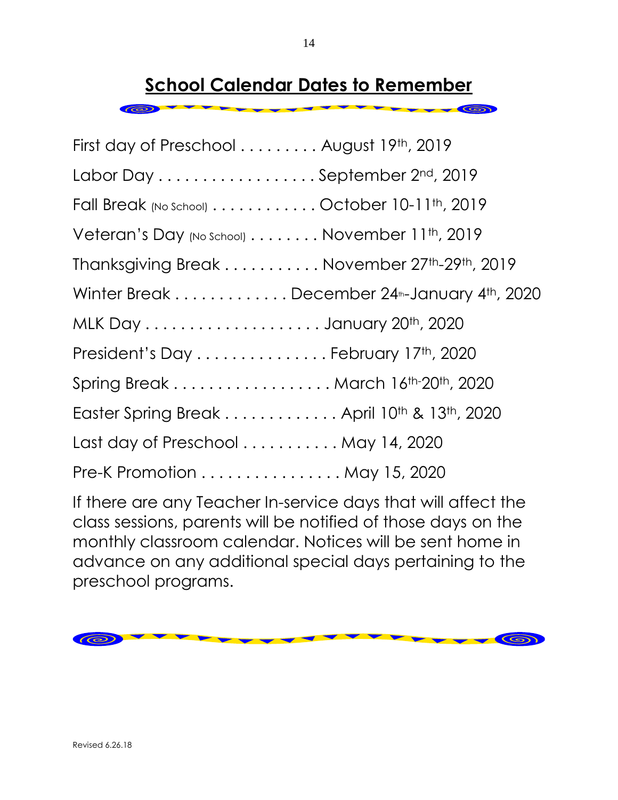# **School Calendar Dates to Remember**

 $\circ$ 

| First day of Preschool August 19th, 2019                                                             |  |
|------------------------------------------------------------------------------------------------------|--|
| Labor Day September 2nd, 2019                                                                        |  |
| Fall Break (No School) $\dots \dots \dots$ October 10-11 <sup>th</sup> , 2019                        |  |
| Veteran's Day (No School) $\dots\dots\dots$ November 11 <sup>th</sup> , 2019                         |  |
| Thanksgiving Break November 27 <sup>th</sup> -29 <sup>th</sup> , 2019                                |  |
| Winter Break $\ldots \ldots \ldots \ldots$ December 24 <sup>th</sup> -January 4 <sup>th</sup> , 2020 |  |
|                                                                                                      |  |
| President's Day February 17th, 2020                                                                  |  |
| Spring Break March 16th-20th, 2020                                                                   |  |
| Easter Spring Break April 10 <sup>th</sup> & 13 <sup>th</sup> , 2020                                 |  |
| Last day of Preschool  May 14, 2020                                                                  |  |
| Pre-K Promotion May 15, 2020                                                                         |  |

If there are any Teacher In-service days that will affect the class sessions, parents will be notified of those days on the monthly classroom calendar. Notices will be sent home in advance on any additional special days pertaining to the preschool programs.

 $\circledcirc$  $\circledcirc$ 

 $\circledcirc$